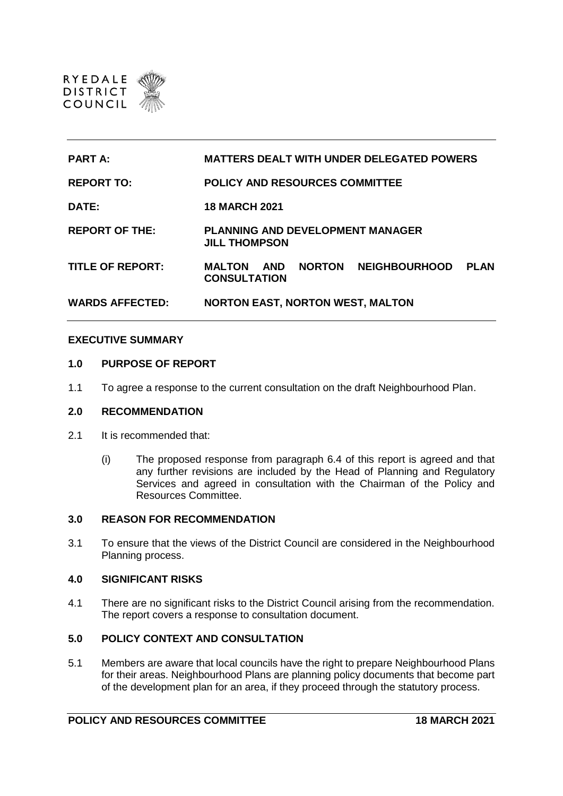

| <b>PART A:</b>          | <b>MATTERS DEALT WITH UNDER DELEGATED POWERS</b>                                                    |
|-------------------------|-----------------------------------------------------------------------------------------------------|
| <b>REPORT TO:</b>       | <b>POLICY AND RESOURCES COMMITTEE</b>                                                               |
| DATE:                   | <b>18 MARCH 2021</b>                                                                                |
| <b>REPORT OF THE:</b>   | <b>PLANNING AND DEVELOPMENT MANAGER</b><br><b>JILL THOMPSON</b>                                     |
| <b>TITLE OF REPORT:</b> | <b>NORTON</b><br><b>NEIGHBOURHOOD</b><br><b>PLAN</b><br><b>MALTON</b><br>AND<br><b>CONSULTATION</b> |
| <b>WARDS AFFECTED:</b>  | <b>NORTON EAST, NORTON WEST, MALTON</b>                                                             |

# **EXECUTIVE SUMMARY**

### **1.0 PURPOSE OF REPORT**

1.1 To agree a response to the current consultation on the draft Neighbourhood Plan.

### **2.0 RECOMMENDATION**

- 2.1 It is recommended that:
	- (i) The proposed response from paragraph 6.4 of this report is agreed and that any further revisions are included by the Head of Planning and Regulatory Services and agreed in consultation with the Chairman of the Policy and Resources Committee.

## **3.0 REASON FOR RECOMMENDATION**

3.1 To ensure that the views of the District Council are considered in the Neighbourhood Planning process.

### **4.0 SIGNIFICANT RISKS**

4.1 There are no significant risks to the District Council arising from the recommendation. The report covers a response to consultation document.

# **5.0 POLICY CONTEXT AND CONSULTATION**

5.1 Members are aware that local councils have the right to prepare Neighbourhood Plans for their areas. Neighbourhood Plans are planning policy documents that become part of the development plan for an area, if they proceed through the statutory process.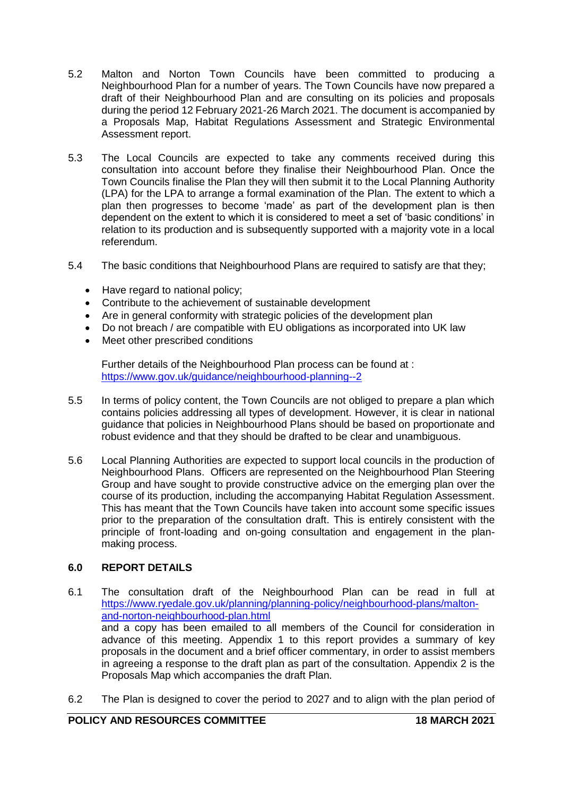- 5.2 Malton and Norton Town Councils have been committed to producing a Neighbourhood Plan for a number of years. The Town Councils have now prepared a draft of their Neighbourhood Plan and are consulting on its policies and proposals during the period 12 February 2021-26 March 2021. The document is accompanied by a Proposals Map, Habitat Regulations Assessment and Strategic Environmental Assessment report.
- 5.3 The Local Councils are expected to take any comments received during this consultation into account before they finalise their Neighbourhood Plan. Once the Town Councils finalise the Plan they will then submit it to the Local Planning Authority (LPA) for the LPA to arrange a formal examination of the Plan. The extent to which a plan then progresses to become 'made' as part of the development plan is then dependent on the extent to which it is considered to meet a set of 'basic conditions' in relation to its production and is subsequently supported with a majority vote in a local referendum.
- 5.4 The basic conditions that Neighbourhood Plans are required to satisfy are that they;
	- Have regard to national policy;
	- Contribute to the achievement of sustainable development
	- Are in general conformity with strategic policies of the development plan
	- Do not breach / are compatible with EU obligations as incorporated into UK law
	- Meet other prescribed conditions

Further details of the Neighbourhood Plan process can be found at : <https://www.gov.uk/guidance/neighbourhood-planning--2>

- 5.5 In terms of policy content, the Town Councils are not obliged to prepare a plan which contains policies addressing all types of development. However, it is clear in national guidance that policies in Neighbourhood Plans should be based on proportionate and robust evidence and that they should be drafted to be clear and unambiguous.
- 5.6 Local Planning Authorities are expected to support local councils in the production of Neighbourhood Plans. Officers are represented on the Neighbourhood Plan Steering Group and have sought to provide constructive advice on the emerging plan over the course of its production, including the accompanying Habitat Regulation Assessment. This has meant that the Town Councils have taken into account some specific issues prior to the preparation of the consultation draft. This is entirely consistent with the principle of front-loading and on-going consultation and engagement in the planmaking process.

# **6.0 REPORT DETAILS**

- 6.1 The consultation draft of the Neighbourhood Plan can be read in full at [https://www.ryedale.gov.uk/planning/planning-policy/neighbourhood-plans/malton](https://www.ryedale.gov.uk/planning/planning-policy/neighbourhood-plans/malton-and-norton-neighbourhood-plan.html)[and-norton-neighbourhood-plan.html](https://www.ryedale.gov.uk/planning/planning-policy/neighbourhood-plans/malton-and-norton-neighbourhood-plan.html) and a copy has been emailed to all members of the Council for consideration in advance of this meeting. Appendix 1 to this report provides a summary of key proposals in the document and a brief officer commentary, in order to assist members in agreeing a response to the draft plan as part of the consultation. Appendix 2 is the Proposals Map which accompanies the draft Plan.
- 6.2 The Plan is designed to cover the period to 2027 and to align with the plan period of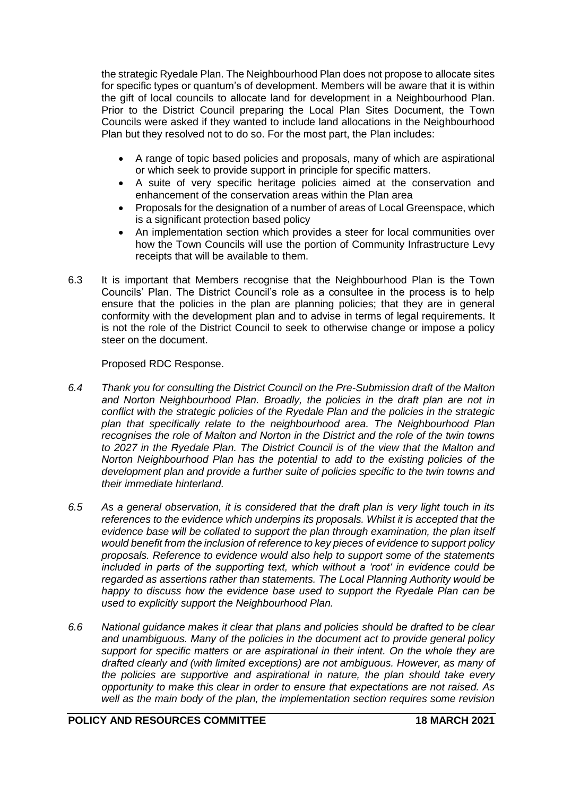the strategic Ryedale Plan. The Neighbourhood Plan does not propose to allocate sites for specific types or quantum's of development. Members will be aware that it is within the gift of local councils to allocate land for development in a Neighbourhood Plan. Prior to the District Council preparing the Local Plan Sites Document, the Town Councils were asked if they wanted to include land allocations in the Neighbourhood Plan but they resolved not to do so. For the most part, the Plan includes:

- A range of topic based policies and proposals, many of which are aspirational or which seek to provide support in principle for specific matters.
- A suite of very specific heritage policies aimed at the conservation and enhancement of the conservation areas within the Plan area
- Proposals for the designation of a number of areas of Local Greenspace, which is a significant protection based policy
- An implementation section which provides a steer for local communities over how the Town Councils will use the portion of Community Infrastructure Levy receipts that will be available to them.
- 6.3 It is important that Members recognise that the Neighbourhood Plan is the Town Councils' Plan. The District Council's role as a consultee in the process is to help ensure that the policies in the plan are planning policies; that they are in general conformity with the development plan and to advise in terms of legal requirements. It is not the role of the District Council to seek to otherwise change or impose a policy steer on the document.

# Proposed RDC Response.

- *6.4 Thank you for consulting the District Council on the Pre-Submission draft of the Malton and Norton Neighbourhood Plan. Broadly, the policies in the draft plan are not in conflict with the strategic policies of the Ryedale Plan and the policies in the strategic plan that specifically relate to the neighbourhood area. The Neighbourhood Plan recognises the role of Malton and Norton in the District and the role of the twin towns to 2027 in the Ryedale Plan. The District Council is of the view that the Malton and Norton Neighbourhood Plan has the potential to add to the existing policies of the development plan and provide a further suite of policies specific to the twin towns and their immediate hinterland.*
- *6.5 As a general observation, it is considered that the draft plan is very light touch in its references to the evidence which underpins its proposals. Whilst it is accepted that the evidence base will be collated to support the plan through examination, the plan itself would benefit from the inclusion of reference to key pieces of evidence to support policy proposals. Reference to evidence would also help to support some of the statements included in parts of the supporting text, which without a 'root' in evidence could be regarded as assertions rather than statements. The Local Planning Authority would be happy to discuss how the evidence base used to support the Ryedale Plan can be used to explicitly support the Neighbourhood Plan.*
- *6.6 National guidance makes it clear that plans and policies should be drafted to be clear and unambiguous. Many of the policies in the document act to provide general policy support for specific matters or are aspirational in their intent. On the whole they are drafted clearly and (with limited exceptions) are not ambiguous. However, as many of the policies are supportive and aspirational in nature, the plan should take every opportunity to make this clear in order to ensure that expectations are not raised. As well as the main body of the plan, the implementation section requires some revision*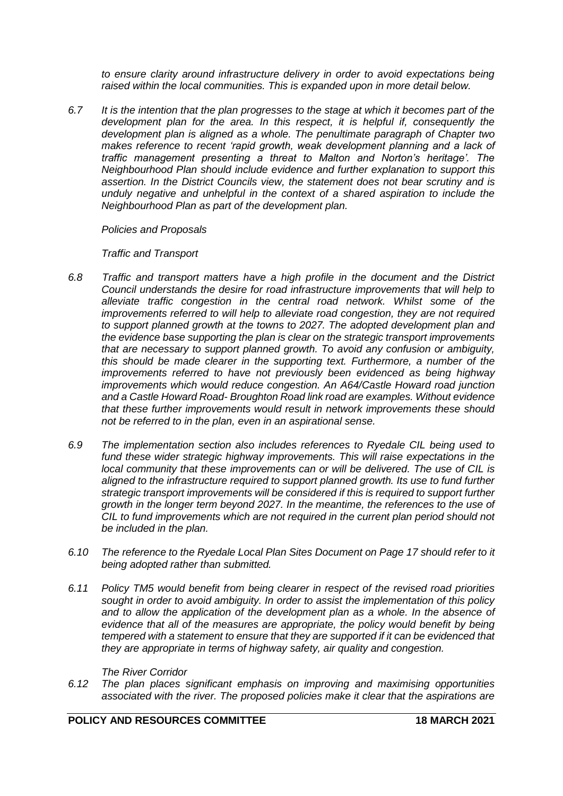*to ensure clarity around infrastructure delivery in order to avoid expectations being raised within the local communities. This is expanded upon in more detail below.*

*6.7 It is the intention that the plan progresses to the stage at which it becomes part of the development plan for the area. In this respect, it is helpful if, consequently the development plan is aligned as a whole. The penultimate paragraph of Chapter two makes reference to recent 'rapid growth, weak development planning and a lack of traffic management presenting a threat to Malton and Norton's heritage'. The Neighbourhood Plan should include evidence and further explanation to support this assertion. In the District Councils view, the statement does not bear scrutiny and is unduly negative and unhelpful in the context of a shared aspiration to include the Neighbourhood Plan as part of the development plan.*

*Policies and Proposals*

*Traffic and Transport*

- *6.8 Traffic and transport matters have a high profile in the document and the District Council understands the desire for road infrastructure improvements that will help to alleviate traffic congestion in the central road network. Whilst some of the improvements referred to will help to alleviate road congestion, they are not required to support planned growth at the towns to 2027. The adopted development plan and the evidence base supporting the plan is clear on the strategic transport improvements that are necessary to support planned growth. To avoid any confusion or ambiguity, this should be made clearer in the supporting text. Furthermore, a number of the improvements referred to have not previously been evidenced as being highway improvements which would reduce congestion. An A64/Castle Howard road junction and a Castle Howard Road- Broughton Road link road are examples. Without evidence that these further improvements would result in network improvements these should not be referred to in the plan, even in an aspirational sense.*
- *6.9 The implementation section also includes references to Ryedale CIL being used to fund these wider strategic highway improvements. This will raise expectations in the local community that these improvements can or will be delivered. The use of CIL is aligned to the infrastructure required to support planned growth. Its use to fund further strategic transport improvements will be considered if this is required to support further growth in the longer term beyond 2027. In the meantime, the references to the use of CIL to fund improvements which are not required in the current plan period should not be included in the plan.*
- *6.10 The reference to the Ryedale Local Plan Sites Document on Page 17 should refer to it being adopted rather than submitted.*
- *6.11 Policy TM5 would benefit from being clearer in respect of the revised road priorities sought in order to avoid ambiguity. In order to assist the implementation of this policy and to allow the application of the development plan as a whole. In the absence of evidence that all of the measures are appropriate, the policy would benefit by being tempered with a statement to ensure that they are supported if it can be evidenced that they are appropriate in terms of highway safety, air quality and congestion.*

*The River Corridor*

*6.12 The plan places significant emphasis on improving and maximising opportunities associated with the river. The proposed policies make it clear that the aspirations are*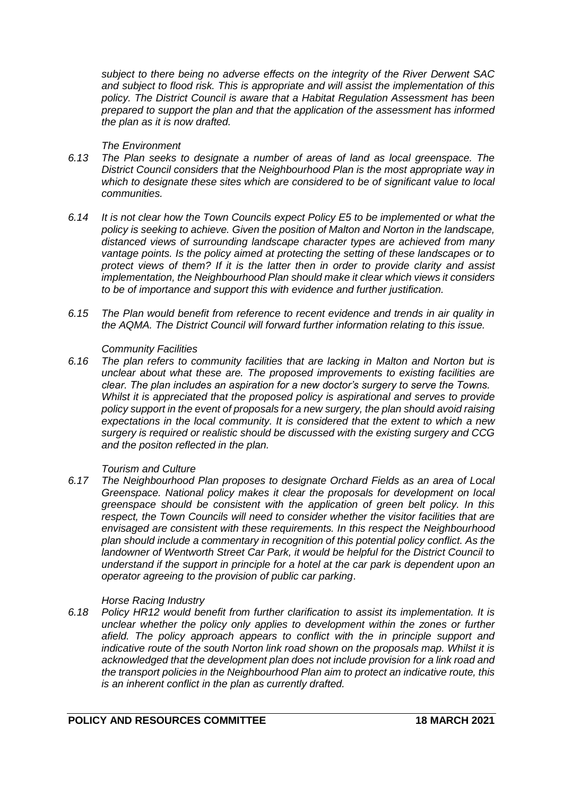*subject to there being no adverse effects on the integrity of the River Derwent SAC and subject to flood risk. This is appropriate and will assist the implementation of this policy. The District Council is aware that a Habitat Regulation Assessment has been prepared to support the plan and that the application of the assessment has informed the plan as it is now drafted.*

## *The Environment*

- *6.13 The Plan seeks to designate a number of areas of land as local greenspace. The District Council considers that the Neighbourhood Plan is the most appropriate way in which to designate these sites which are considered to be of significant value to local communities.*
- *6.14 It is not clear how the Town Councils expect Policy E5 to be implemented or what the policy is seeking to achieve. Given the position of Malton and Norton in the landscape, distanced views of surrounding landscape character types are achieved from many vantage points. Is the policy aimed at protecting the setting of these landscapes or to protect views of them? If it is the latter then in order to provide clarity and assist implementation, the Neighbourhood Plan should make it clear which views it considers to be of importance and support this with evidence and further justification.*
- *6.15 The Plan would benefit from reference to recent evidence and trends in air quality in the AQMA. The District Council will forward further information relating to this issue.*

### *Community Facilities*

*6.16 The plan refers to community facilities that are lacking in Malton and Norton but is unclear about what these are. The proposed improvements to existing facilities are clear. The plan includes an aspiration for a new doctor's surgery to serve the Towns. Whilst it is appreciated that the proposed policy is aspirational and serves to provide policy support in the event of proposals for a new surgery, the plan should avoid raising expectations in the local community. It is considered that the extent to which a new surgery is required or realistic should be discussed with the existing surgery and CCG and the positon reflected in the plan.*

# *Tourism and Culture*

*6.17 The Neighbourhood Plan proposes to designate Orchard Fields as an area of Local Greenspace. National policy makes it clear the proposals for development on local greenspace should be consistent with the application of green belt policy. In this respect, the Town Councils will need to consider whether the visitor facilities that are envisaged are consistent with these requirements. In this respect the Neighbourhood plan should include a commentary in recognition of this potential policy conflict. As the landowner of Wentworth Street Car Park, it would be helpful for the District Council to understand if the support in principle for a hotel at the car park is dependent upon an operator agreeing to the provision of public car parking*.

# *Horse Racing Industry*

*6.18 Policy HR12 would benefit from further clarification to assist its implementation. It is unclear whether the policy only applies to development within the zones or further afield. The policy approach appears to conflict with the in principle support and indicative route of the south Norton link road shown on the proposals map. Whilst it is acknowledged that the development plan does not include provision for a link road and the transport policies in the Neighbourhood Plan aim to protect an indicative route, this is an inherent conflict in the plan as currently drafted.*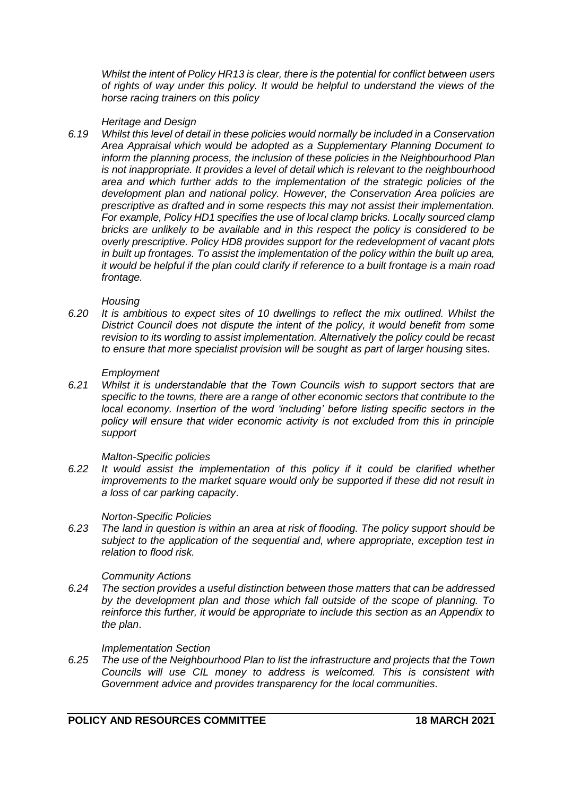*Whilst the intent of Policy HR13 is clear, there is the potential for conflict between users of rights of way under this policy. It would be helpful to understand the views of the horse racing trainers on this policy*

## *Heritage and Design*

*6.19 Whilst this level of detail in these policies would normally be included in a Conservation Area Appraisal which would be adopted as a Supplementary Planning Document to inform the planning process, the inclusion of these policies in the Neighbourhood Plan is not inappropriate. It provides a level of detail which is relevant to the neighbourhood area and which further adds to the implementation of the strategic policies of the development plan and national policy. However, the Conservation Area policies are prescriptive as drafted and in some respects this may not assist their implementation. For example, Policy HD1 specifies the use of local clamp bricks. Locally sourced clamp bricks are unlikely to be available and in this respect the policy is considered to be overly prescriptive. Policy HD8 provides support for the redevelopment of vacant plots in built up frontages. To assist the implementation of the policy within the built up area, it would be helpful if the plan could clarify if reference to a built frontage is a main road frontage.*

### *Housing*

*6.20 It is ambitious to expect sites of 10 dwellings to reflect the mix outlined. Whilst the District Council does not dispute the intent of the policy, it would benefit from some revision to its wording to assist implementation. Alternatively the policy could be recast to ensure that more specialist provision will be sought as part of larger housing* sites.

### *Employment*

*6.21 Whilst it is understandable that the Town Councils wish to support sectors that are specific to the towns, there are a range of other economic sectors that contribute to the local economy. Insertion of the word 'including' before listing specific sectors in the policy will ensure that wider economic activity is not excluded from this in principle support*

### *Malton-Specific policies*

*6.22 It would assist the implementation of this policy if it could be clarified whether improvements to the market square would only be supported if these did not result in a loss of car parking capacity*.

# *Norton-Specific Policies*

*6.23 The land in question is within an area at risk of flooding. The policy support should be subject to the application of the sequential and, where appropriate, exception test in relation to flood risk.*

# *Community Actions*

*6.24 The section provides a useful distinction between those matters that can be addressed by the development plan and those which fall outside of the scope of planning. To reinforce this further, it would be appropriate to include this section as an Appendix to the plan*.

### *Implementation Section*

*6.25 The use of the Neighbourhood Plan to list the infrastructure and projects that the Town Councils will use CIL money to address is welcomed. This is consistent with Government advice and provides transparency for the local communities.*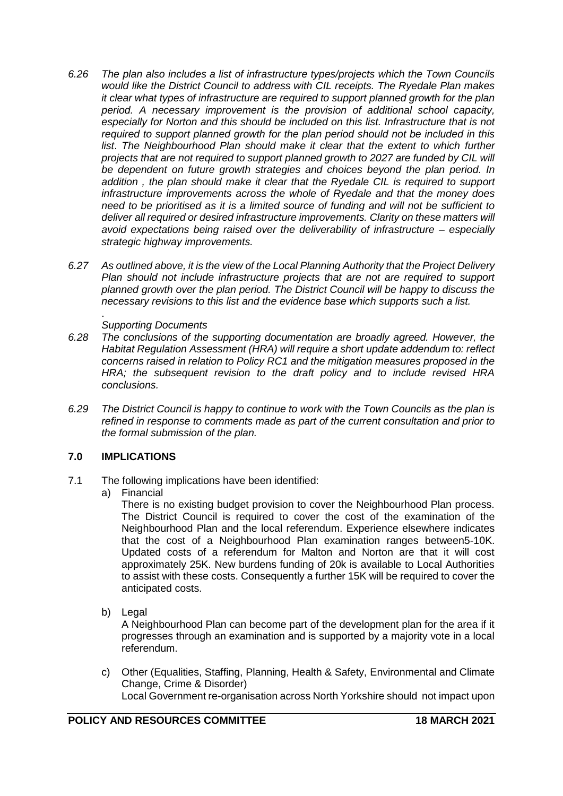- *6.26 The plan also includes a list of infrastructure types/projects which the Town Councils would like the District Council to address with CIL receipts. The Ryedale Plan makes it clear what types of infrastructure are required to support planned growth for the plan period. A necessary improvement is the provision of additional school capacity, especially for Norton and this should be included on this list. Infrastructure that is not required to support planned growth for the plan period should not be included in this*  list. The Neighbourhood Plan should make it clear that the extent to which further *projects that are not required to support planned growth to 2027 are funded by CIL will be dependent on future growth strategies and choices beyond the plan period. In addition , the plan should make it clear that the Ryedale CIL is required to support infrastructure improvements across the whole of Ryedale and that the money does need to be prioritised as it is a limited source of funding and will not be sufficient to deliver all required or desired infrastructure improvements. Clarity on these matters will avoid expectations being raised over the deliverability of infrastructure – especially strategic highway improvements.*
- *6.27 As outlined above, it is the view of the Local Planning Authority that the Project Delivery*  Plan should not include infrastructure projects that are not are required to support *planned growth over the plan period. The District Council will be happy to discuss the necessary revisions to this list and the evidence base which supports such a list.*

#### . *Supporting Documents*

- *6.28 The conclusions of the supporting documentation are broadly agreed. However, the Habitat Regulation Assessment (HRA) will require a short update addendum to: reflect concerns raised in relation to Policy RC1 and the mitigation measures proposed in the HRA; the subsequent revision to the draft policy and to include revised HRA conclusions.*
- *6.29 The District Council is happy to continue to work with the Town Councils as the plan is refined in response to comments made as part of the current consultation and prior to the formal submission of the plan.*

# **7.0 IMPLICATIONS**

- 7.1 The following implications have been identified:
	- a) Financial

There is no existing budget provision to cover the Neighbourhood Plan process. The District Council is required to cover the cost of the examination of the Neighbourhood Plan and the local referendum. Experience elsewhere indicates that the cost of a Neighbourhood Plan examination ranges between5-10K. Updated costs of a referendum for Malton and Norton are that it will cost approximately 25K. New burdens funding of 20k is available to Local Authorities to assist with these costs. Consequently a further 15K will be required to cover the anticipated costs.

b) Legal

A Neighbourhood Plan can become part of the development plan for the area if it progresses through an examination and is supported by a majority vote in a local referendum.

c) Other (Equalities, Staffing, Planning, Health & Safety, Environmental and Climate Change, Crime & Disorder) Local Government re-organisation across North Yorkshire should not impact upon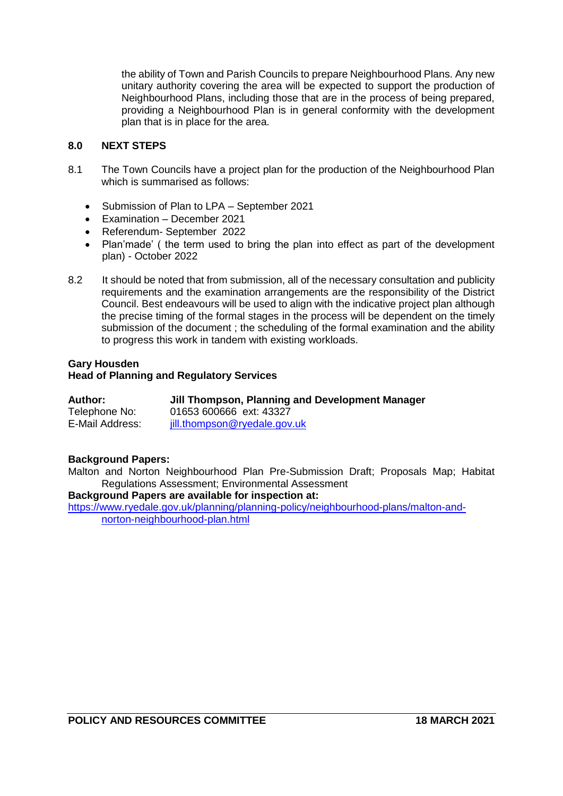the ability of Town and Parish Councils to prepare Neighbourhood Plans. Any new unitary authority covering the area will be expected to support the production of Neighbourhood Plans, including those that are in the process of being prepared, providing a Neighbourhood Plan is in general conformity with the development plan that is in place for the area.

# **8.0 NEXT STEPS**

- 8.1 The Town Councils have a project plan for the production of the Neighbourhood Plan which is summarised as follows:
	- Submission of Plan to LPA September 2021
	- Examination December 2021
	- Referendum- September 2022
	- Plan'made' ( the term used to bring the plan into effect as part of the development plan) - October 2022
- 8.2 It should be noted that from submission, all of the necessary consultation and publicity requirements and the examination arrangements are the responsibility of the District Council. Best endeavours will be used to align with the indicative project plan although the precise timing of the formal stages in the process will be dependent on the timely submission of the document ; the scheduling of the formal examination and the ability to progress this work in tandem with existing workloads.

# **Gary Housden**

# **Head of Planning and Regulatory Services**

| Author:         | Jill Thompson, Planning and Development Manager |
|-----------------|-------------------------------------------------|
| Telephone No:   | 01653 600666 ext: 43327                         |
| E-Mail Address: | jill.thompson@ryedale.gov.uk                    |

# **Background Papers:**

Malton and Norton Neighbourhood Plan Pre-Submission Draft; Proposals Map; Habitat Regulations Assessment; Environmental Assessment

### **Background Papers are available for inspection at:**

[https://www.ryedale.gov.uk/planning/planning-policy/neighbourhood-plans/malton-and](https://www.ryedale.gov.uk/planning/planning-policy/neighbourhood-plans/malton-and-norton-neighbourhood-plan.html)[norton-neighbourhood-plan.html](https://www.ryedale.gov.uk/planning/planning-policy/neighbourhood-plans/malton-and-norton-neighbourhood-plan.html)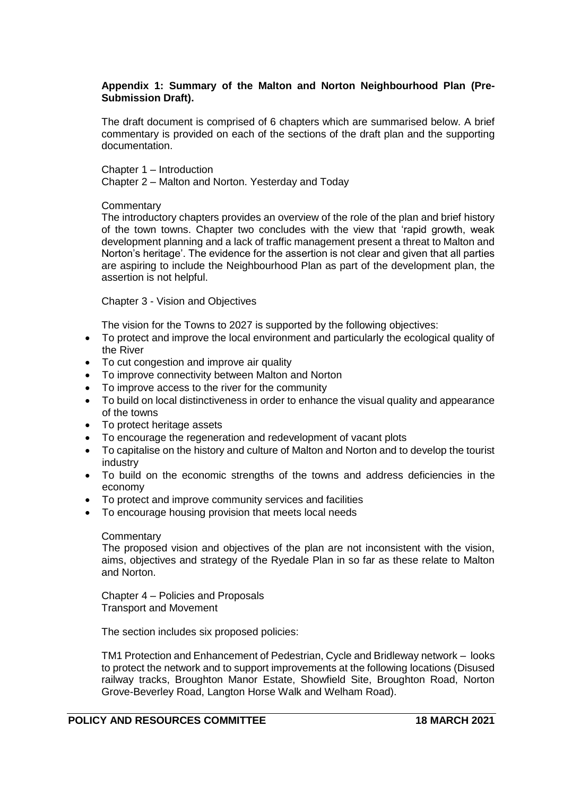# **Appendix 1: Summary of the Malton and Norton Neighbourhood Plan (Pre-Submission Draft).**

The draft document is comprised of 6 chapters which are summarised below. A brief commentary is provided on each of the sections of the draft plan and the supporting documentation.

Chapter 1 – Introduction

Chapter 2 – Malton and Norton. Yesterday and Today

# **Commentary**

The introductory chapters provides an overview of the role of the plan and brief history of the town towns. Chapter two concludes with the view that 'rapid growth, weak development planning and a lack of traffic management present a threat to Malton and Norton's heritage'. The evidence for the assertion is not clear and given that all parties are aspiring to include the Neighbourhood Plan as part of the development plan, the assertion is not helpful.

Chapter 3 - Vision and Objectives

The vision for the Towns to 2027 is supported by the following objectives:

- To protect and improve the local environment and particularly the ecological quality of the River
- To cut congestion and improve air quality
- To improve connectivity between Malton and Norton
- To improve access to the river for the community
- To build on local distinctiveness in order to enhance the visual quality and appearance of the towns
- To protect heritage assets
- To encourage the regeneration and redevelopment of vacant plots
- To capitalise on the history and culture of Malton and Norton and to develop the tourist industry
- To build on the economic strengths of the towns and address deficiencies in the economy
- To protect and improve community services and facilities
- To encourage housing provision that meets local needs

# **Commentary**

The proposed vision and objectives of the plan are not inconsistent with the vision, aims, objectives and strategy of the Ryedale Plan in so far as these relate to Malton and Norton.

Chapter 4 – Policies and Proposals Transport and Movement

The section includes six proposed policies:

TM1 Protection and Enhancement of Pedestrian, Cycle and Bridleway network – looks to protect the network and to support improvements at the following locations (Disused railway tracks, Broughton Manor Estate, Showfield Site, Broughton Road, Norton Grove-Beverley Road, Langton Horse Walk and Welham Road).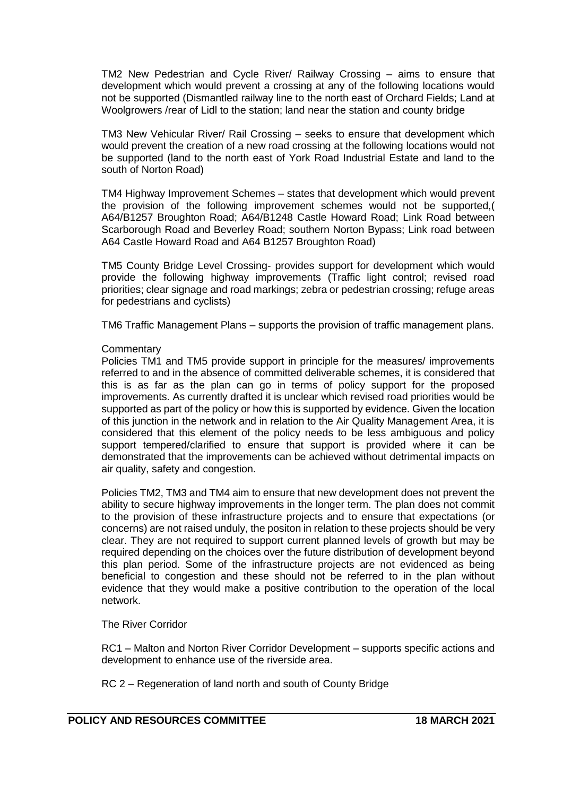TM2 New Pedestrian and Cycle River/ Railway Crossing – aims to ensure that development which would prevent a crossing at any of the following locations would not be supported (Dismantled railway line to the north east of Orchard Fields; Land at Woolgrowers /rear of Lidl to the station; land near the station and county bridge

TM3 New Vehicular River/ Rail Crossing – seeks to ensure that development which would prevent the creation of a new road crossing at the following locations would not be supported (land to the north east of York Road Industrial Estate and land to the south of Norton Road)

TM4 Highway Improvement Schemes – states that development which would prevent the provision of the following improvement schemes would not be supported,( A64/B1257 Broughton Road; A64/B1248 Castle Howard Road; Link Road between Scarborough Road and Beverley Road; southern Norton Bypass; Link road between A64 Castle Howard Road and A64 B1257 Broughton Road)

TM5 County Bridge Level Crossing- provides support for development which would provide the following highway improvements (Traffic light control; revised road priorities; clear signage and road markings; zebra or pedestrian crossing; refuge areas for pedestrians and cyclists)

TM6 Traffic Management Plans – supports the provision of traffic management plans.

### **Commentary**

Policies TM1 and TM5 provide support in principle for the measures/ improvements referred to and in the absence of committed deliverable schemes, it is considered that this is as far as the plan can go in terms of policy support for the proposed improvements. As currently drafted it is unclear which revised road priorities would be supported as part of the policy or how this is supported by evidence. Given the location of this junction in the network and in relation to the Air Quality Management Area, it is considered that this element of the policy needs to be less ambiguous and policy support tempered/clarified to ensure that support is provided where it can be demonstrated that the improvements can be achieved without detrimental impacts on air quality, safety and congestion.

Policies TM2, TM3 and TM4 aim to ensure that new development does not prevent the ability to secure highway improvements in the longer term. The plan does not commit to the provision of these infrastructure projects and to ensure that expectations (or concerns) are not raised unduly, the positon in relation to these projects should be very clear. They are not required to support current planned levels of growth but may be required depending on the choices over the future distribution of development beyond this plan period. Some of the infrastructure projects are not evidenced as being beneficial to congestion and these should not be referred to in the plan without evidence that they would make a positive contribution to the operation of the local network.

# The River Corridor

RC1 – Malton and Norton River Corridor Development – supports specific actions and development to enhance use of the riverside area.

RC 2 – Regeneration of land north and south of County Bridge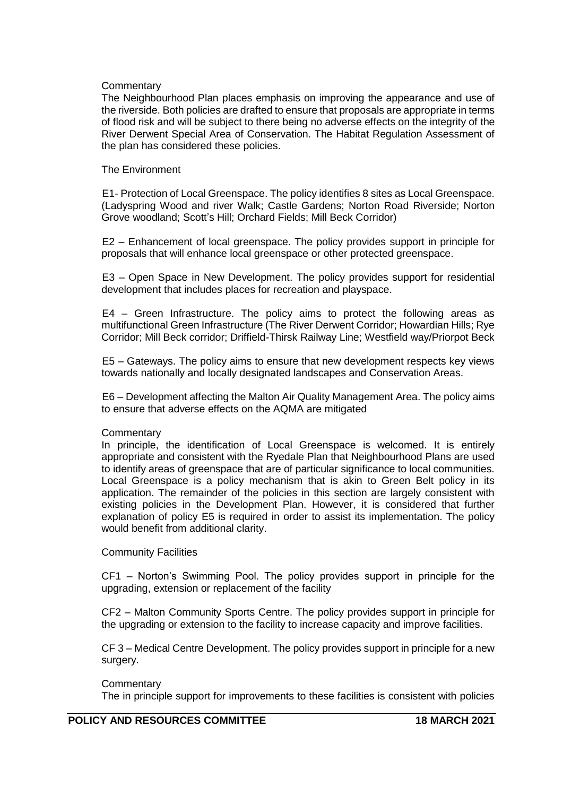### **Commentary**

The Neighbourhood Plan places emphasis on improving the appearance and use of the riverside. Both policies are drafted to ensure that proposals are appropriate in terms of flood risk and will be subject to there being no adverse effects on the integrity of the River Derwent Special Area of Conservation. The Habitat Regulation Assessment of the plan has considered these policies.

### The Environment

E1- Protection of Local Greenspace. The policy identifies 8 sites as Local Greenspace. (Ladyspring Wood and river Walk; Castle Gardens; Norton Road Riverside; Norton Grove woodland; Scott's Hill; Orchard Fields; Mill Beck Corridor)

E2 – Enhancement of local greenspace. The policy provides support in principle for proposals that will enhance local greenspace or other protected greenspace.

E3 – Open Space in New Development. The policy provides support for residential development that includes places for recreation and playspace.

E4 – Green Infrastructure. The policy aims to protect the following areas as multifunctional Green Infrastructure (The River Derwent Corridor; Howardian Hills; Rye Corridor; Mill Beck corridor; Driffield-Thirsk Railway Line; Westfield way/Priorpot Beck

E5 – Gateways. The policy aims to ensure that new development respects key views towards nationally and locally designated landscapes and Conservation Areas.

E6 – Development affecting the Malton Air Quality Management Area. The policy aims to ensure that adverse effects on the AQMA are mitigated

# **Commentary**

In principle, the identification of Local Greenspace is welcomed. It is entirely appropriate and consistent with the Ryedale Plan that Neighbourhood Plans are used to identify areas of greenspace that are of particular significance to local communities. Local Greenspace is a policy mechanism that is akin to Green Belt policy in its application. The remainder of the policies in this section are largely consistent with existing policies in the Development Plan. However, it is considered that further explanation of policy E5 is required in order to assist its implementation. The policy would benefit from additional clarity.

### Community Facilities

CF1 – Norton's Swimming Pool. The policy provides support in principle for the upgrading, extension or replacement of the facility

CF2 – Malton Community Sports Centre. The policy provides support in principle for the upgrading or extension to the facility to increase capacity and improve facilities.

CF 3 – Medical Centre Development. The policy provides support in principle for a new surgery.

**Commentary** The in principle support for improvements to these facilities is consistent with policies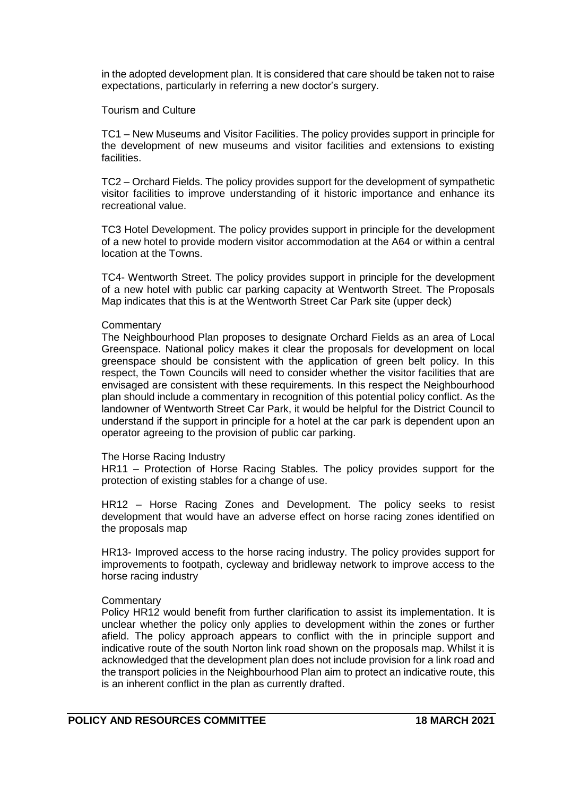in the adopted development plan. It is considered that care should be taken not to raise expectations, particularly in referring a new doctor's surgery.

### Tourism and Culture

TC1 – New Museums and Visitor Facilities. The policy provides support in principle for the development of new museums and visitor facilities and extensions to existing facilities.

TC2 – Orchard Fields. The policy provides support for the development of sympathetic visitor facilities to improve understanding of it historic importance and enhance its recreational value.

TC3 Hotel Development. The policy provides support in principle for the development of a new hotel to provide modern visitor accommodation at the A64 or within a central location at the Towns.

TC4- Wentworth Street. The policy provides support in principle for the development of a new hotel with public car parking capacity at Wentworth Street. The Proposals Map indicates that this is at the Wentworth Street Car Park site (upper deck)

### **Commentary**

The Neighbourhood Plan proposes to designate Orchard Fields as an area of Local Greenspace. National policy makes it clear the proposals for development on local greenspace should be consistent with the application of green belt policy. In this respect, the Town Councils will need to consider whether the visitor facilities that are envisaged are consistent with these requirements. In this respect the Neighbourhood plan should include a commentary in recognition of this potential policy conflict. As the landowner of Wentworth Street Car Park, it would be helpful for the District Council to understand if the support in principle for a hotel at the car park is dependent upon an operator agreeing to the provision of public car parking.

### The Horse Racing Industry

HR11 – Protection of Horse Racing Stables. The policy provides support for the protection of existing stables for a change of use.

HR12 – Horse Racing Zones and Development. The policy seeks to resist development that would have an adverse effect on horse racing zones identified on the proposals map

HR13- Improved access to the horse racing industry. The policy provides support for improvements to footpath, cycleway and bridleway network to improve access to the horse racing industry

# **Commentary**

Policy HR12 would benefit from further clarification to assist its implementation. It is unclear whether the policy only applies to development within the zones or further afield. The policy approach appears to conflict with the in principle support and indicative route of the south Norton link road shown on the proposals map. Whilst it is acknowledged that the development plan does not include provision for a link road and the transport policies in the Neighbourhood Plan aim to protect an indicative route, this is an inherent conflict in the plan as currently drafted.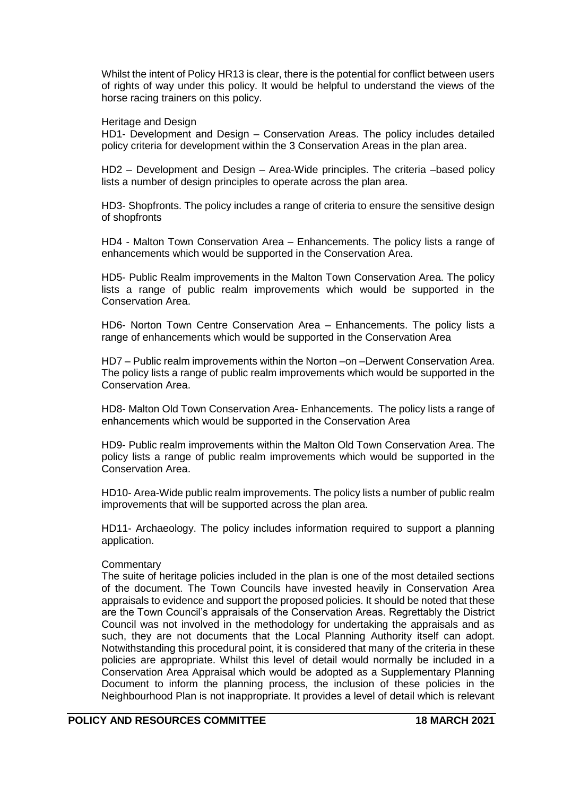Whilst the intent of Policy HR13 is clear, there is the potential for conflict between users of rights of way under this policy. It would be helpful to understand the views of the horse racing trainers on this policy.

### Heritage and Design

HD1- Development and Design – Conservation Areas. The policy includes detailed policy criteria for development within the 3 Conservation Areas in the plan area.

HD2 – Development and Design – Area-Wide principles. The criteria –based policy lists a number of design principles to operate across the plan area.

HD3- Shopfronts. The policy includes a range of criteria to ensure the sensitive design of shopfronts

HD4 - Malton Town Conservation Area – Enhancements. The policy lists a range of enhancements which would be supported in the Conservation Area.

HD5- Public Realm improvements in the Malton Town Conservation Area. The policy lists a range of public realm improvements which would be supported in the Conservation Area.

HD6- Norton Town Centre Conservation Area – Enhancements. The policy lists a range of enhancements which would be supported in the Conservation Area

HD7 – Public realm improvements within the Norton –on –Derwent Conservation Area. The policy lists a range of public realm improvements which would be supported in the Conservation Area.

HD8- Malton Old Town Conservation Area- Enhancements. The policy lists a range of enhancements which would be supported in the Conservation Area

HD9- Public realm improvements within the Malton Old Town Conservation Area. The policy lists a range of public realm improvements which would be supported in the Conservation Area.

HD10- Area-Wide public realm improvements. The policy lists a number of public realm improvements that will be supported across the plan area.

HD11- Archaeology. The policy includes information required to support a planning application.

### **Commentary**

The suite of heritage policies included in the plan is one of the most detailed sections of the document. The Town Councils have invested heavily in Conservation Area appraisals to evidence and support the proposed policies. It should be noted that these are the Town Council's appraisals of the Conservation Areas. Regrettably the District Council was not involved in the methodology for undertaking the appraisals and as such, they are not documents that the Local Planning Authority itself can adopt. Notwithstanding this procedural point, it is considered that many of the criteria in these policies are appropriate. Whilst this level of detail would normally be included in a Conservation Area Appraisal which would be adopted as a Supplementary Planning Document to inform the planning process, the inclusion of these policies in the Neighbourhood Plan is not inappropriate. It provides a level of detail which is relevant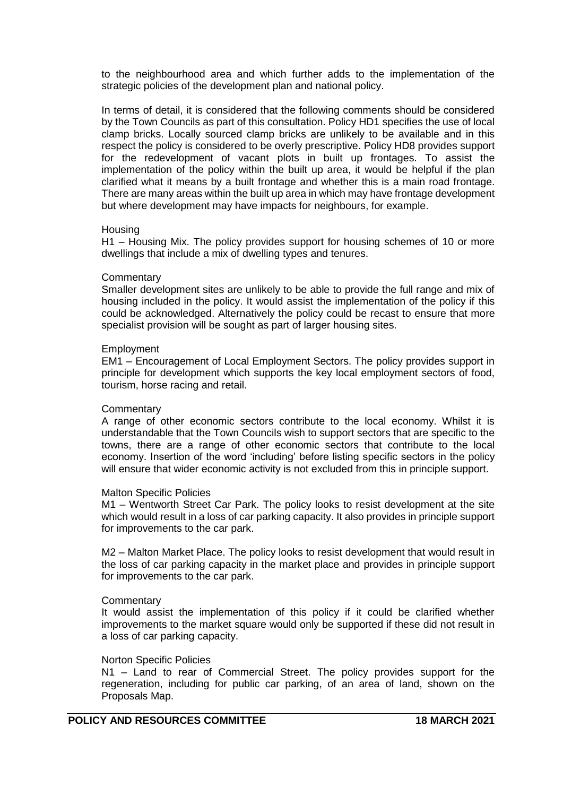to the neighbourhood area and which further adds to the implementation of the strategic policies of the development plan and national policy.

In terms of detail, it is considered that the following comments should be considered by the Town Councils as part of this consultation. Policy HD1 specifies the use of local clamp bricks. Locally sourced clamp bricks are unlikely to be available and in this respect the policy is considered to be overly prescriptive. Policy HD8 provides support for the redevelopment of vacant plots in built up frontages. To assist the implementation of the policy within the built up area, it would be helpful if the plan clarified what it means by a built frontage and whether this is a main road frontage. There are many areas within the built up area in which may have frontage development but where development may have impacts for neighbours, for example.

### Housing

H1 – Housing Mix. The policy provides support for housing schemes of 10 or more dwellings that include a mix of dwelling types and tenures.

#### **Commentary**

Smaller development sites are unlikely to be able to provide the full range and mix of housing included in the policy. It would assist the implementation of the policy if this could be acknowledged. Alternatively the policy could be recast to ensure that more specialist provision will be sought as part of larger housing sites.

#### Employment

EM1 – Encouragement of Local Employment Sectors. The policy provides support in principle for development which supports the key local employment sectors of food, tourism, horse racing and retail.

### **Commentary**

A range of other economic sectors contribute to the local economy. Whilst it is understandable that the Town Councils wish to support sectors that are specific to the towns, there are a range of other economic sectors that contribute to the local economy. Insertion of the word 'including' before listing specific sectors in the policy will ensure that wider economic activity is not excluded from this in principle support.

### Malton Specific Policies

M1 – Wentworth Street Car Park. The policy looks to resist development at the site which would result in a loss of car parking capacity. It also provides in principle support for improvements to the car park.

M2 – Malton Market Place. The policy looks to resist development that would result in the loss of car parking capacity in the market place and provides in principle support for improvements to the car park.

### **Commentary**

It would assist the implementation of this policy if it could be clarified whether improvements to the market square would only be supported if these did not result in a loss of car parking capacity.

### Norton Specific Policies

N1 – Land to rear of Commercial Street. The policy provides support for the regeneration, including for public car parking, of an area of land, shown on the Proposals Map.